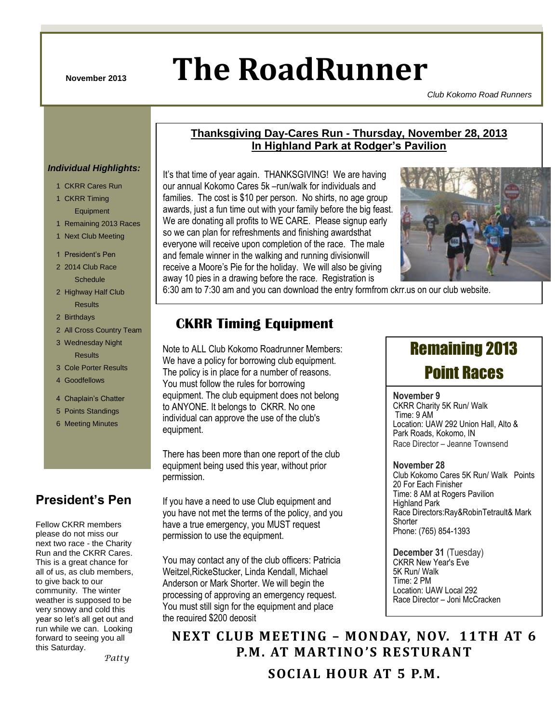# **November 2013 The RoadRunner**

CKRR –November 2013 Page 1 of 6

**Thanksgiving Day-Cares Run - Thursday, November 28, 2013 In Highland Park at Rodger's Pavilion**

*Club Kokomo Road Runners*

#### *Individual Highlights:*

- 1 CKRR Cares Run
- 1 CKRR Timing Equipment
- 1 Remaining 2013 Races
- 1 Next Club Meeting
- 1 President's Pen

2 2014 Club Race **Schedule** 

- 2 Highway Half Club **Results**
- 2 Birthdays
- 2 All Cross Country Team
- 3 Wednesday Night

Results

- 3 Cole Porter Results
- 4 Goodfellows
- 4 Chaplain's Chatter
- 5 Points Standings
- 6 Meeting Minutes

## **President's Pen**

Fellow CKRR members please do not miss our next two race - the Charity Run and the CKRR Cares. This is a great chance for all of us, as club members, to give back to our community. The winter weather is supposed to be very snowy and cold this year so let's all get out and run while we can. Looking forward to seeing you all this Saturday.

 *Patty*

It's that time of year again. THANKSGIVING! We are having our annual Kokomo Cares 5k –run/walk for individuals and families. The cost is \$10 per person. No shirts, no age group awards, just a fun time out with your family before the big feast. We are donating all profits to WE CARE. Please signup early so we can plan for refreshments and finishing awardsthat everyone will receive upon completion of the race. The male and female winner in the walking and running divisionwill receive a Moore"s Pie for the holiday. We will also be giving away 10 pies in a drawing before the race. Registration is



6:30 am to 7:30 am and you can download the entry formfrom ckrr.us on our club website.

# **CKRR Timing Equipment**

Note to ALL Club Kokomo Roadrunner Members: We have a policy for borrowing club equipment. The policy is in place for a number of reasons. You must follow the rules for borrowing equipment. The club equipment does not belong to ANYONE. It belongs to CKRR. No one individual can approve the use of the club's equipment.

There has been more than one report of the club equipment being used this year, without prior permission.

If you have a need to use Club equipment and you have not met the terms of the policy, and you have a true emergency, you MUST request permission to use the equipment.

You may contact any of the club officers: Patricia Weitzel,RickeStucker, Linda Kendall, Michael Anderson or Mark Shorter. We will begin the processing of approving an emergency request. You must still sign for the equipment and place the required \$200 deposit

# Remaining 2013 Point Races

#### **November 9**

CKRR Charity 5K Run/ Walk Time: 9 AM Location: UAW 292 Union Hall, Alto & Park Roads, Kokomo, IN Race Director – Jeanne Townsend

#### **November 28**

Club Kokomo Cares 5K Run/ Walk Points 20 For Each Finisher Time: 8 AM at Rogers Pavilion Highland Park Race Directors:Ray&RobinTetrault& Mark **Shorter** Phone: (765) 854-1393

**December 31** (Tuesday) CKRR New Year's Eve 5K Run/ Walk Time: 2 PM Location: UAW Local 292 Race Director – Joni McCracken

**NEXT CLUB MEETING – MONDAY, NOV. 11TH AT 6 P.M. AT MARTINO 'S RESTURANT**

**SOCIAL HOUR AT 5 P.M.**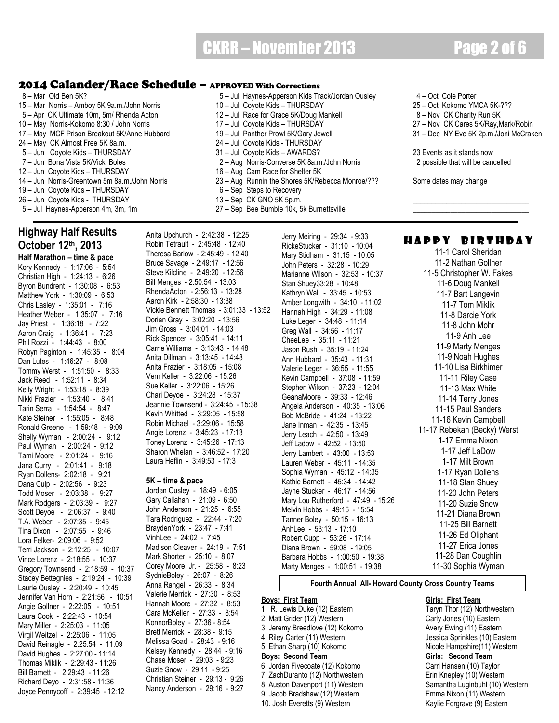# CKRR – November 2013 Page 2 of 6

#### 2014 Calander/Race Schedule – APPROVED With Corrections

8 – Mar Old Ben 5K? 6 – 10 Series Apperson Kids Track/Jordan Ousley A – Oct Cole Porter<br>19 – Mar Norris – Amboy 5K 9a.m./John Norris 10 – Jul Coyote Kids – THURSDAY 25 – Oct Kokomo YMCA 5K-??? 15 – Mar Norris – Amboy 5K 9a.m./John Norris 5 – Apr CK Ultimate 10m, 5m/ Rhenda Acton 12 – Jul Race for Grace 5K/Doug Mankell 8 – Nov CK Charity Run 5K<br>12 – May Norris-Kokomo 8:30 / John Norris 17 – Jul Coyote Kids – THURSDAY 19 – 10 – 10 CK Cares 5K/Ray, N 10 – May Norris-Kokomo 8:30 / John Norris 17 – Jul Coyote Kids – THURSDAY 27 – Nov CK Cares 5K/Ray,Mark/Robin 17 – May MCF Prison Breakout 5K/Anne Hubbard 19 – Jul Panther Prowl 5K/Gary Jewell 31 – Dec NY Eve 5K 2p.m./Joni McCraken 24 – May CK Almost Free 5K 8a.m. 24 – Jul Coyote Kids - THURSDAY 5 – Jun Coyote Kids – THURSDAY 31 – Jul Coyote Kids – AWARDS? 23 Events as it stands now 7 – Jun Bona Vista 5K/Vicki Boles 2 – 2 – Aug Norris-Converse 5K 8a.m./John Norris 2 possible that will be cancelled<br>12 – Jun Coyote Kids – THURSDAY 16 – Aug Cam Race for Shelter 5K 12 – Jun Coyote Kids – THURSDAY 14 – Jun Norris-Greentown 5m 8a.m./John Norris 23 – Aug Runnin the Shores 5K/Rebecca Monroe/??? Some dates may change 19 – Jun Coyote Kids – THURSDAY 6 – Sep Steps to Recovery 26 – Jun Coyote Kids - THURSDAY 13 – Sep CK GNO 5K 5p.m. 5 – Jul Haynes-Apperson 4m, 3m, 1m 27 – Sep Bee Bumble 10k, 5k Burnettsville

## **Highway Half Results October 12th, 2013**

**Half Marathon – time & pace** Kory Kennedy - 1:17:06 - 5:54 Christian High - 1:24:13 - 6:26 Byron Bundrent - 1:30:08 - 6:53 Matthew York - 1:30:09 - 6:53 Chris Lasley - 1:35:01 - 7:16 Heather Weber - 1:35:07 - 7:16 Jay Priest - 1:36:18 - 7:22 Aaron Craig - 1:36:41 - 7:23 Phil Rozzi - 1:44:43 - 8:00 Robyn Paginton - 1:45:35 - 8:04 Dan Lutes - 1:46:27 - 8:08 Tommy Werst - 1:51:50 - 8:33 Jack Reed - 1:52:11 - 8:34 Kelly Wright - 1:53:18 - 8:39 Nikki Frazier - 1:53:40 - 8:41 Tarin Serra - 1:54:54 - 8:47 Kate Steiner - 1:55:05 - 8:48 Ronald Greene - 1:59:48 - 9:09 Shelly Wyman - 2:00:24 - 9:12 Paul Wyman - 2:00:24 - 9:12 Tami Moore - 2:01:24 - 9:16 Jana Curry - 2:01:41 - 9:18 Ryan Dollens- 2:02:18 - 9:21 Dana Culp - 2:02:56 - 9:23 Todd Moser - 2:03:38 - 9:27 Mark Rodgers - 2:03:39 - 9:27 Scott Deyoe - 2:06:37 - 9:40 T.A. Weber - 2:07:35 - 9:45 Tina Dixon - 2:07:55 - 9:46 Lora Felker- 2:09:06 - 9:52 Terri Jackson - 2:12:25 - 10:07 Vince Lorenz - 2:18:55 - 10:37 Gregory Townsend - 2:18:59 - 10:37 Stacey Bettegnies - 2:19:24 - 10:39 Laurie Ousley - 2:20:49 - 10:45 Jennifer Van Horn - 2:21:56 - 10:51 Angie Gollner - 2:22:05 - 10:51 Laura Cook - 2:22:43 - 10:54 Mary Miller - 2:25:03 - 11:05 Virgil Weitzel - 2:25:06 - 11:05 David Reinagle - 2:25:54 - 11:09 David Hughes - 2:27:00 - 11:14 Thomas Miklik - 2:29:43 - 11:26 Bill Barnett - 2:29:43 - 11:26 Richard Deyo - 2:31:58 - 11:36 Joyce Pennycoff - 2:39:45 - 12:12

Anita Upchurch - 2:42:38 - 12:25 Robin Tetrault - 2:45:48 - 12:40 Theresa Barlow - 2:45:49 - 12:40 Bruce Savage - 2:49:17 - 12:56 Steve Kilcline - 2:49:20 - 12:56 Bill Menges - 2:50:54 - 13:03 RhendaActon - 2:56:13 - 13:28 Aaron Kirk - 2:58:30 - 13:38 Vickie Bennett Thomas - 3:01:33 - 13:52 Dorian Gray - 3:02:20 - 13:56 Jim Gross - 3:04:01 - 14:03 Rick Spencer - 3:05:41 - 14:11 Carrie Williams - 3:13:43 - 14:48 Anita Dillman - 3:13:45 - 14:48 Anita Frazier - 3:18:05 - 15:08 Vern Keller - 3:22:06 - 15:26 Sue Keller - 3:22:06 - 15:26 Chari Deyoe - 3:24:28 - 15:37 Jeannie Townsend - 3:24:45 - 15:38 Kevin Whitted - 3:29:05 - 15:58 Robin Michael - 3:29:06 - 15:58 Angie Lorenz - 3:45:23 - 17:13 Toney Lorenz - 3:45:26 - 17:13 Sharon Whelan - 3:46:52 - 17:20 Laura Heflin - 3:49:53 - 17:3

#### **5K – time & pace**

Jordan Ousley - 18:49 - 6:05 Gary Callahan - 21:09 - 6:50 John Anderson - 21:25 - 6:55 Tara Rodriguez - 22:44 - 7:20 BraydenYork - 23:47 - 7:41 VinhLee - 24:02 - 7:45 Madison Cleaver - 24:19 - 7:51 Mark Shorter - 25:10 - 8:07 Corey Moore, Jr. - 25:58 - 8:23 SydnieBoley - 26:07 - 8:26 Anna Rangel - 26:33 - 8:34 Valerie Merrick - 27:30 - 8:53 Hannah Moore - 27:32 - 8:53 Cara McKeller - 27:33 - 8:54 KonnorBoley - 27:36 - 8:54 Brett Merrick - 28:38 - 9:15 Melissa Goad - 28:43 - 9:16 Kelsey Kennedy - 28:44 - 9:16 Chase Moser - 29:03 - 9:23 Suzie Snow - 29:11 - 9:25 Christian Steiner - 29:13 - 9:26 Nancy Anderson - 29:16 - 9:27

- 
- 

Jerry Meiring - 29:34 - 9:33 RickeStucker - 31:10 - 10:04 Mary Stidham - 31:15 - 10:05 John Peters - 32:28 - 10:29 Marianne Wilson - 32:53 - 10:37 Stan Shuey33:28 - 10:48 Kathryn Wall - 33:45 - 10:53 Amber Longwith - 34:10 - 11:02 Hannah High - 34:29 - 11:08 Luke Leger - 34:48 - 11:14 Greg Wall - 34:56 - 11:17 CheeLee - 35:11 - 11:21 Jason Rush - 35:19 - 11:24 Ann Hubbard - 35:43 - 11:31 Valerie Leger - 36:55 - 11:55 Kevin Campbell - 37:08 - 11:59 Stephen Wilson - 37:23 - 12:04 GeanaMoore - 39:33 - 12:46 Angela Anderson - 40:35 - 13:06 Bob McBride - 41:24 - 13:22 Jane Inman - 42:35 - 13:45 Jerry Leach - 42:50 - 13:49 Jeff Ladow - 42:52 - 13:50 Jerry Lambert - 43:00 - 13:53 Lauren Weber - 45:11 - 14:35 Sophia Wyman - 45:12 - 14:35 Kathie Barnett - 45:34 - 14:42 Jayne Stucker - 46:17 - 14:56 Mary Lou Rutherford - 47:49 - 15:26 Melvin Hobbs - 49:16 - 15:54 Tanner Boley - 50:15 - 16:13 AnhLee - 53:13 - 17:10 Robert Cupp - 53:26 - 17:14 Diana Brown - 59:08 - 19:05 Barbara Hobbs - 1:00:50 - 19:38 Marty Menges - 1:00:51 - 19:38

- 
- 
- 
- 
- 

#### HAPPY BIRTHDAY

11-1 Carol Sheridan 11-2 Nathan Gollner 11-5 Christopher W. Fakes 11-6 Doug Mankell 11-7 Bart Langevin 11-7 Tom Miklik 11-8 Darcie York 11-8 John Mohr 11-9 Anh Lee 11-9 Marty Menges 11-9 Noah Hughes 11-10 Lisa Birkhimer 11-11 Riley Case 11-13 Max White 11-14 Terry Jones 11-15 Paul Sanders 11-16 Kevin Campbell 11-17 Rebekah (Becky) Werst 1-17 Emma Nixon 1-17 Jeff LaDow 1-17 Milt Brown 1-17 Ryan Dollens 11-18 Stan Shuey 11-20 John Peters 11-20 Suzie Snow 11-21 Diana Brown 11-25 Bill Barnett 11-26 Ed Oliphant 11-27 Erica Jones 11-28 Dan Coughlin 11-30 Sophia Wyman

#### **Fourth Annual All- Howard County Cross Country Teams**

1. R. Lewis Duke (12) Eastern Taryn Thor (12) Northwestern 2. Matt Grider (12) Western Carly Jones (10) Eastern 3. Jeremy Breedlove (12) Kokomo **Avery Ewing (11) Eastern**<br>4. Riley Carter (11) Western **Austrian Communist Communist Communist Communist Communist Communist Communist Co** 4. Riley Carter (11) Western and The Superior Service Sprinkles (10) Eastern 5. Ethan Sharp (10) Kokomo (10) Testern and Nicole Hampshire (11) Western and The Superior Superior Superior Superior Superior Superior Superior **Boys: Second Team**<br> **6.** Jordan Fivecoate (12) Kokomo<br> **Garri Hansen (10) Taylor**<br> **Garri Hansen (10) Taylor** 6. Jordan Fivecoate (12) Kokomo 7. ZachDuranto (12) Northwestern Erin Knepley (10) Western

#### **Boys: First Team Girls: First Team**

Nicole Hampshire(11) Western 8. Auston Davenport (11) Western Samantha Luginbuhl (10) Western 9. Jacob Bradshaw (12) Western Emma Nixon (11) Western 10. Josh Everetts (9) Western Kaylie Forgrave (9) Eastern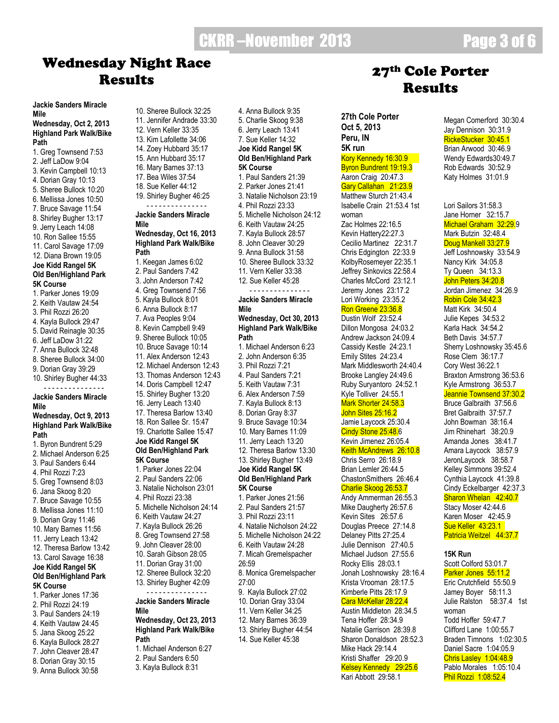# CKRR-November 2013 **Page 3 of 6**

# Wednesday Night Race

10. Sheree Bullock 32:25

#### **Jackie Sanders Miracle Mile**

#### **Wednesday, Oct 2, 2013 Highland Park Walk/Bike Path**

1. Greg Townsend 7:53 2. Jeff LaDow 9:04 3. Kevin Campbell 10:13 4. Dorian Gray 10:13 5. Sheree Bullock 10:20 6. Mellissa Jones 10:50 7. Bruce Savage 11:54 8. Shirley Bugher 13:17 9. Jerry Leach 14:08 10. Ron Sallee 15:55 11. Carol Savage 17:09 12. Diana Brown 19:05 **Joe Kidd Rangel 5K Old Ben/Highland Park 5K Course** 1. Parker Jones 19:09 2. Keith Vautaw 24:54 3. Phil Rozzi 26:20 4. Kayla Bullock 29:47 5. David Reinagle 30:35 6. Jeff LaDow 31:22 7. Anna Bullock 32:48 8. Sheree Bullock 34:00 9. Dorian Gray 39:29 10. Shirley Bugher 44:33 - - - - - - - - - - - - - - - **Jackie Sanders Miracle Mile Wednesday, Oct 9, 2013 Highland Park Walk/Bike Path** 1. Byron Bundrent 5:29 2. Michael Anderson 6:25 3. Paul Sanders 6:44 4. Phil Rozzi 7:23 5. Greg Townsend 8:03 6. Jana Skoog 8:20 7. Bruce Savage 10:55 8. Mellissa Jones 11:10 9. Dorian Gray 11:46 10. Mary Barnes 11:56 11. Jerry Leach 13:42 12. Theresa Barlow 13:42 13. Carol Savage 16:38 **Joe Kidd Rangel 5K Old Ben/Highland Park 5K Course** 1. Parker Jones 17:36 2. Phil Rozzi 24:19

- 3. Paul Sanders 24:19 4. Keith Vautaw 24:45
- 5. Jana Skoog 25:22
- 6. Kayla Bullock 28:27
- 7. John Cleaver 28:47
- 8. Dorian Gray 30:15 9. Anna Bullock 30:58
- 11. Jennifer Andrade 33:30 12. Vern Keller 33:35 13. Kim Lafollette 34:06 14. Zoey Hubbard 35:17 15. Ann Hubbard 35:17 16. Mary Barnes 37:13 17. Bea Wiles 37:54 18. Sue Keller 44:12 19. Shirley Bugher 46:25 - - - - - - - - - - - - - - - **Jackie Sanders Miracle Mile Wednesday, Oct 16, 2013 Highland Park Walk/Bike Path** 1. Keegan James 6:02 2. Paul Sanders 7:42 3. John Anderson 7:42 4. Greg Townsend 7:56 5. Kayla Bullock 8:01 6. Anna Bullock 8:17 7. Ava Peoples 9:04 8. Kevin Campbell 9:49 9. Sheree Bullock 10:05 10. Bruce Savage 10:14 11. Alex Anderson 12:43 12. Michael Anderson 12:43 13. Thomas Anderson 12:43 14. Doris Campbell 12:47 15. Shirley Bugher 13:20 16. Jerry Leach 13:40 17. Theresa Barlow 13:40 18. Ron Sallee Sr. 15:47 19. Charlotte Sallee 15:47 **Joe Kidd Rangel 5K Old Ben/Highland Park 5K Course** 1. Parker Jones 22:04 2. Paul Sanders 22:06 3. Natalie Nicholson 23:01 4. Phil Rozzi 23:38 5. Michelle Nicholson 24:14 6. Keith Vautaw 24:27 7. Kayla Bullock 26:26 8. Greg Townsend 27:58 9. John Cleaver 28:00 10. Sarah Gibson 28:05 11. Dorian Gray 31:00 12. Sheree Bullock 32:20 13. Shirley Bugher 42:09 - - - - - - - - - - - - - - - **Jackie Sanders Miracle Mile Wednesday, Oct 23, 2013 Highland Park Walk/Bike** 
	- **Path** 1. Michael Anderson 6:27
	- 2. Paul Sanders 6:50
	- 3. Kayla Bullock 8:31

4. Anna Bullock 9:35 5. Charlie Skoog 9:38 6. Jerry Leach 13:41 7. Sue Keller 14:32 **Joe Kidd Rangel 5K Old Ben/Highland Park 5K Course** 1. Paul Sanders 21:39 2. Parker Jones 21:41 3. Natalie Nicholson 23:19 4. Phil Rozzi 23:33 5. Michelle Nicholson 24:12 6. Keith Vautaw 24:25 7. Kayla Bullock 28:57 8. John Cleaver 30:29 9. Anna Bullock 31:58 10. Sheree Bullock 33:32 11. Vern Keller 33:38 12. Sue Keller 45:28 - - - - - - - - - - - - - - - **Jackie Sanders Miracle Mile Wednesday, Oct 30, 2013 Highland Park Walk/Bike Path** 1. Michael Anderson 6:23 2. John Anderson 6:35 3. Phil Rozzi 7:21 4. Paul Sanders 7:21 5. Keith Vautaw 7:31 6. Alex Anderson 7:59 7. Kayla Bullock 8:13 8. Dorian Gray 8:37 9. Bruce Savage 10:34 10. Mary Barnes 11:09 11. Jerry Leach 13:20 12. Theresa Barlow 13:30 13. Shirley Bugher 13:49 **Joe Kidd Rangel 5K Old Ben/Highland Park 5K Course** 1. Parker Jones 21:56 2. Paul Sanders 21:57 3. Phil Rozzi 23:11 4. Natalie Nicholson 24:22 5. Michelle Nicholson 24:22 6. Keith Vautaw 24:28 7. Micah Gremelspacher 26:59 8. Monica Gremelspacher 27:00 9. Kayla Bullock 27:02 10. Dorian Gray 33:04 11. Vern Keller 34:25 12. Mary Barnes 36:39 13. Shirley Bugher 44:54 14. Sue Keller 45:38

# day inglictuate<br>Results 27<sup>th</sup> Cole Porter Results

**27th Cole Porter Oct 5, 2013 Peru, IN 5K run**  Kory Kennedy 16:30.9 Byron Bundrent 19:19.3 Aaron Craig 20:47.3 Gary Callahan 21:23.9 Matthew Sturch 21:43.4 Isabelle Crain 21:53.4 1st woman Zac Holmes 22:16.5 Kevin Hattery22:27.3 Cecilio Martinez 22:31.7 Chris Edgington 22:33.9 KolbyRosemeyer 22:35.1 Jeffrey Sinkovics 22:58.4 Charles McCord 23:12.1 Jeremy Jones 23:17.2 Lori Working 23:35.2 Ron Greene 23:36.8 Dustin Wolf 23:52.4 Dillon Mongosa 24:03.2 Andrew Jackson 24:09.4 Cassidy Kestle 24:23.1 Emily Stites 24:23.4 Mark Middlesworth 24:40.4 Brooke Langley 24:49.6 Ruby Suryantoro 24:52.1 Kyle Tolliver 24:55.1 Mark Shorter 24:58.3 John Sites 25:16.2 Jamie Laycock 25:30.4 Cindy Stone 25:48.6 Kevin Jimenez 26:05.4 Keith McAndrews 26:10.8 Chris Serro 26:18.9 Brian Lemler 26:44.5 ChastonSmithers 26:46.4 Charlie Skoog 26:53.7 Andy Ammerman 26:55.3 Mike Daugherty 26:57.6 Kevin Sites 26:57.6 Douglas Preece 27:14.8 Delaney Pitts 27:25.4 Julie Dennison 27:40.5 Michael Judson 27:55.6 Rocky Ellis 28:03.1 Jonah Loshnowsky 28:16.4 Krista Vrooman 28:17.5 Kimberle Pitts 28:17.9 Cara McKellar 28:22.4 Austin Middleton 28:34.5 Tena Hoffer 28:34.9 Natalie Garrison 28:39.8 Sharon Donaldson 28:52.3 Mike Hack 29:14.4 Kristi Shaffer 29:20.9

Kelsey Kennedy 29:25.6 Kari Abbott 29:58.1

Megan Comerford 30:30.4 Jay Dennison 30:31.9 RickeStucker 30:45.1 Brian Arwood 30:46.9 Wendy Edwards30:49.7 Rob Edwards 30:52.9 Katy Holmes 31:01.9

Lori Sailors 31:58.3 Jane Horner 32:15.7 Michael Graham 32:29.9 Mark Butzin 32:48.4 Doug Mankell 33:27.9 Jeff Loshnowsky 33:54.9 Nancy Kirk 34:05.8 Ty Queen 34:13.3 John Peters 34:20.8 Jordan Jimenez 34:26.9 Robin Cole 34:42.3 Matt Kirk 34:50.4 Julie Kepes 34:53.2 Karla Hack 34:54.2 Beth Davis 34:57.7 Sherry Loshnowsky 35:45.6 Rose Clem 36:17.7 Cory West 36:22.1 Braxton Armstrong 36:53.6 Kyle Armstrong 36:53.7 Jeannie Townsend 37:30.2 Bruce Galbraith 37:56.6 Bret Galbraith 37:57.7 John Bowman 38:16.4 Jim Rhinehart 38:20.9 Amanda Jones 38:41.7 Amara Laycock 38:57.9 JeronLaycock 38:58.7 Kelley Simmons 39:52.4 Cynthia Laycock 41:39.8 Cindy Eckelbarger 42:37.3 Sharon Whelan 42:40.7 Stacy Moser 42:44.6 Karen Moser 42:45.9 Sue Keller 43:23.1 Patricia Weitzel 44:37.7

#### **15K Run**

Scott Colford 53:01.7 Parker Jones 55:11.2 Eric Crutchfield 55:50.9 Jamey Boyer 58:11.3 Julie Ralston 58:37.4 1st woman Todd Hoffer 59:47.7 Clifford Lane 1:00:55.7 Braden Timnons 1:02:30.5 Daniel Sacre 1:04:05.9 Chris Lasley 1:04:48.9 Pablo Morales 1:05:10.4 Phil Rozzi 1:08:52.4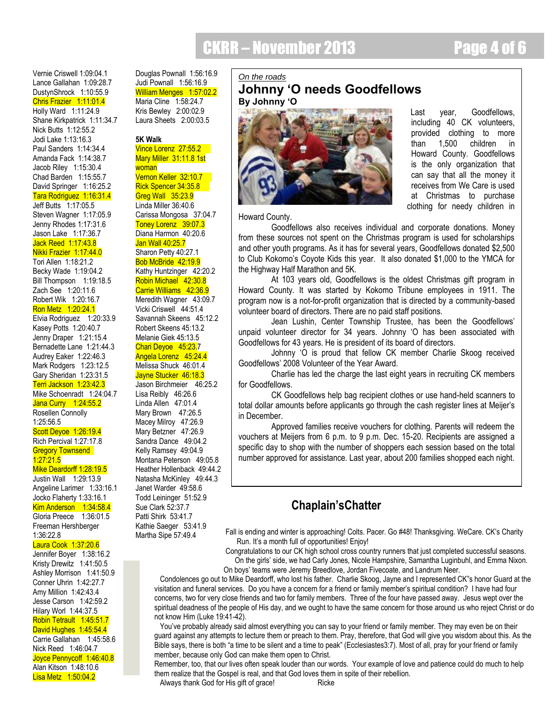CKRR – November 2013 Page 4 of 6

Vernie Criswell 1:09:04.1 Lance Gallahan 1:09:28.7 DustynShrock 1:10:55.9 Chris Frazier 1:11:01.4 Holly Ward 1:11:24.9 Shane Kirkpatrick 1:11:34.7 Nick Butts 1:12:55.2 Jodi Lake 1:13:16.3 Paul Sanders 1:14:34.4 Amanda Fack 1:14:38.7 Jacob Riley 1:15:30.4 Chad Barden 1:15:55.7 David Springer 1:16:25.2 Tara Rodriguez 1:16:31.4 Jeff Butts 1:17:05.5 Steven Wagner 1:17:05.9 Jenny Rhodes 1:17:31.6 Jason Lake 1:17:36.7 Jack Reed 1:17:43.8 Nikki Frazier 1:17:44.0 Tori Allen 1:18:21.2 Becky Wade 1:19:04.2 Bill Thompson 1:19:18.5 Zach See 1:20:11.6 Robert Wik 1:20:16.7 Ron Metz 1:20:24.1 Elvia Rodriguez 1:20:33.9 Kasey Potts 1:20:40.7 Jenny Draper 1:21:15.4 Bernadette Lane 1:21:44.3 Audrey Eaker 1:22:46.3 Mark Rodgers 1:23:12.5 Gary Sheridan 1:23:31.5 Terri Jackson 1:23:42.3 Mike Schoenradt 1:24:04.7 Jana Curry 1:24:55.2 Rosellen Connolly 1:25:56.5 Scott Deyoe 1:26:19.4 Rich Percival 1:27:17.8 **Gregory Townsend** 1:27:21.5 Mike Deardorff 1:28:19.5 Justin Wall 1:29:13.9 Angeline Larimer 1:33:16.1 Jocko Flaherty 1:33:16.1 Kim Anderson 1:34:58.4 Gloria Preece 1:36:01.5 Freeman Hershberger 1:36:22.8

#### Laura Cook 1:37:20.6

Jennifer Boyer 1:38:16.2 Kristy Drewitz 1:41:50.5 Ashley Morrison 1:41:50.9 Conner Uhrin 1:42:27.7 Amy Million 1:42:43.4 Jesse Carson 1:42:59.2 Hilary Worl 1:44:37.5 Robin Tetrault 1:45:51.7 David Hughes 1:45:54.4 Carrie Gallahan 1:45:58.6 Nick Reed 1:46:04.7 Joyce Pennycoff 1:46:40.8 Alan Kitson 1:48:10.6 Lisa Metz 1:50:04.2

Douglas Pownall 1:56:16.9 Judi Pownall 1:56:16.9 William Menges 1:57:02.2 Maria Cline 1:58:24.7 Kris Bewley 2:00:02.9 Laura Sheets 2:00:03.5

#### **5K Walk**

Vince Lorenz 27:55.2 Mary Miller 31:11.8 1st woman Vernon Keller 32:10.7 Rick Spencer 34:35.8 Greg Wall 35:23.9 Linda Miller 36:40.6 Carissa Mongosa 37:04.7 Toney Lorenz 39:07.3 Diana Harmon 40:20.6 Jan Wall 40:25.7 Sharon Petty 40:27.1 Bob McBride 42:19.9 Kathy Huntzinger 42:20.2 Robin Michael 42:30.8 Carrie Williams 42:36.9 Meredith Wagner 43:09.7 Vicki Criswell 44:51.4 Savannah Skeens 45:12.2 Robert Skeens 45:13.2 Melanie Giek 45:13.5 Chari Deyoe 45:23.7 Angela Lorenz 45:24.4 Melissa Shuck 46:01.4 Jayne Stucker 46:18.3 Jason Birchmeier 46:25.2 Lisa Reibly 46:26.6 Linda Allen 47:01.4 Mary Brown 47:26.5 Macey Milroy 47:26.9 Mary Betzner 47:26.9 Sandra Dance 49:04.2 Kelly Ramsey 49:04.9 Montana Peterson 49:05.8 Heather Hollenback 49:44.2 Natasha McKinley 49:44.3 Janet Warder 49:58.6 Todd Leininger 51:52.9 Sue Clark 52:37.7 Patti Shirk 53:41.7 Kathie Saeger 53:41.9 Martha Sipe 57:49.4

#### *On the roads*

### **Johnny 'O needs Goodfellows By Johnny 'O**



 Last year, Goodfellows, including 40 CK volunteers, provided clothing to more than 1,500 children in Howard County. Goodfellows is the only organization that can say that all the money it receives from We Care is used at Christmas to purchase clothing for needy children in

Howard County.

Goodfellows also receives individual and corporate donations. Money from these sources not spent on the Christmas program is used for scholarships and other youth programs. As it has for several years, Goodfellows donated \$2,500 to Club Kokomo"s Coyote Kids this year. It also donated \$1,000 to the YMCA for the Highway Half Marathon and 5K.

At 103 years old, Goodfellows is the oldest Christmas gift program in Howard County. It was started by Kokomo Tribune employees in 1911. The program now is a not-for-profit organization that is directed by a community-based volunteer board of directors. There are no paid staff positions.

Jean Lushin, Center Township Trustee, has been the Goodfellows" unpaid volunteer director for 34 years. Johnny "O has been associated with Goodfellows for 43 years. He is president of its board of directors.

Johnny "O is proud that fellow CK member Charlie Skoog received Goodfellows" 2008 Volunteer of the Year Award.

Charlie has led the charge the last eight years in recruiting CK members for Goodfellows.

CK Goodfellows help bag recipient clothes or use hand-held scanners to total dollar amounts before applicants go through the cash register lines at Meijer"s in December.

Approved families receive vouchers for clothing. Parents will redeem the vouchers at Meijers from 6 p.m. to 9 p.m. Dec. 15-20. Recipients are assigned a specific day to shop with the number of shoppers each session based on the total number approved for assistance. Last year, about 200 families shopped each night.

### **Chaplain'sChatter**

Fall is ending and winter is approaching! Colts. Pacer. Go #48! Thanksgiving. WeCare. CK's Charity Run. It's a month full of opportunities! Enjoy!

 Congratulations to our CK high school cross country runners that just completed successful seasons. On the girls" side, we had Carly Jones, Nicole Hampshire, Samantha Luginbuhl, and Emma Nixon. On boys" teams were Jeremy Breedlove, Jordan Fivecoate, and Landrum Neer.

 Condolences go out to Mike Deardorff, who lost his father. Charlie Skoog, Jayne and I represented CK"s honor Guard at the visitation and funeral services. Do you have a concern for a friend or family member"s spiritual condition? I have had four concerns, two for very close friends and two for family members. Three of the four have passed away. Jesus wept over the spiritual deadness of the people of His day, and we ought to have the same concern for those around us who reject Christ or do not know Him (Luke 19:41-42).

You've probably already said almost everything you can say to your friend or family member. They may even be on their guard against any attempts to lecture them or preach to them. Pray, therefore, that God will give you wisdom about this. As the Bible says, there is both "a time to be silent and a time to peak" (Ecclesiastes3:7). Most of all, pray for your friend or family member, because only God can make them open to Christ.

Remember, too, that our lives often speak louder than our words. Your example of love and patience could do much to help them realize that the Gospel is real, and that God loves them in spite of their rebellion.

Always thank God for His gift of grace! Ricke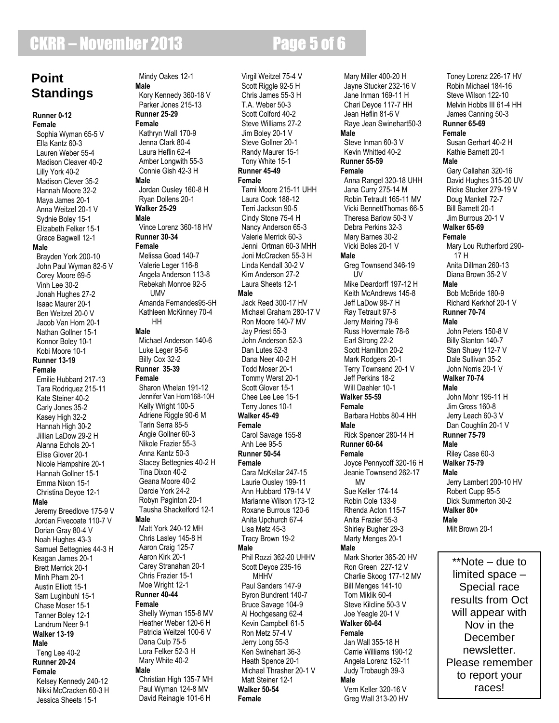# **CKRR – November 2013 Page 5 of 6**

# **Point Standings**

**Runner 0-12 Female** Sophia Wyman 65-5 V Ella Kantz 60-3 Lauren Weber 55-4 Madison Cleaver 40-2 Lilly York 40-2 Madison Clever 35-2 Hannah Moore 32-2 Maya James 20-1 Anna Weitzel 20-1 V Sydnie Boley 15-1 Elizabeth Felker 15-1 Grace Bagwell 12-1 **Male** Brayden York 200-10 John Paul Wyman 82-5 V Corey Moore 69-5 Vinh Lee 30-2 Jonah Hughes 27-2 Isaac Maurer 20-1 Ben Weitzel 20-0 V Jacob Van Horn 20-1 Nathan Gollner 15-1 Konnor Boley 10-1 Kobi Moore 10-1 **Runner 13-19 Female** Emilie Hubbard 217-13 Tara Rodriquez 215-11 Kate Steiner 40-2 Carly Jones 35-2 Kasey High 32-2 Hannah High 30-2 Jillian LaDow 29-2 H Alanna Echols 20-1 Elise Glover 20-1 Nicole Hampshire 20-1 Hannah Gollner 15-1 Emma Nixon 15-1 Christina Deyoe 12-1 **Male**

Jeremy Breedlove 175-9 V Jordan Fivecoate 110-7 V Dorian Gray 80-4 V Noah Hughes 43-3 Samuel Bettegnies 44-3 H Keagan James 20-1 Brett Merrick 20-1 Minh Pham 20-1 Austin Elliott 15-1 Sam Luginbuhl 15-1 Chase Moser 15-1 Tanner Boley 12-1 Landrum Neer 9-1 **Walker 13-19 Male** Teng Lee 40-2 **Runner 20-24 Female** Kelsey Kennedy 240-12 Nikki McCracken 60-3 H Jessica Sheets 15-1

 Mindy Oakes 12-1 **Male** Kory Kennedy 360-18 V Parker Jones 215-13 **Runner 25-29 Female** Kathryn Wall 170-9 Jenna Clark 80-4 Laura Heflin 62-4 Amber Longwith 55-3 Connie Gish 42-3 H **Male** Jordan Ousley 160-8 H Ryan Dollens 20-1 **Walker 25-29 Male** Vince Lorenz 360-18 HV **Runner 30-34 Female** Melissa Goad 140-7 Valerie Leger 116-8 Angela Anderson 113-8 Rebekah Monroe 92-5 **UMV**  Amanda Fernandes95-5H Kathleen McKinney 70-4 HH **Male** Michael Anderson 140-6 Luke Leger 95-6 Billy Cox 32-2 **Runner 35-39 Female** Sharon Whelan 191-12 Jennifer Van Horn168-10H Kelly Wright 100-5 Adriene Riggle 90-6 M Tarin Serra 85-5 Angie Gollner 60-3 Nikole Frazier 55-3 Anna Kantz 50-3 Stacey Bettegnies 40-2 H Tina Dixon 40-2 Geana Moore 40-2 Darcie York 24-2 Robyn Paginton 20-1 Tausha Shackelford 12-1 **Male** Matt York 240-12 MH Chris Lasley 145-8 H Aaron Craig 125-7 Aaron Kirk 20-1 Carey Stranahan 20-1 Chris Frazier 15-1 Moe Wright 12-1 **Runner 40-44 Female** Shelly Wyman 155-8 MV Heather Weber 120-6 H Patricia Weitzel 100-6 V Dana Culp 75-5 Lora Felker 52-3 H Mary White 40-2 **Male** Christian High 135-7 MH Paul Wyman 124-8 MV

David Reinagle 101-6 H

#### Virgil Weitzel 75-4 V Scott Riggle 92-5 H Chris James 55-3 H T.A. Weber 50-3 Scott Colford 40-2 Steve Williams 27-2 Jim Boley 20-1 V Steve Gollner 20-1 Randy Maurer 15-1 Tony White 15-1 **Runner 45-49 Female** Tami Moore 215-11 UHH Laura Cook 188-12 Terri Jackson 90-5 Cindy Stone 75-4 H Nancy Anderson 65-3 Valerie Merrick 60-3 Jenni Ortman 60-3 MHH Joni McCracken 55-3 H Linda Kendall 30-2 V Kim Anderson 27-2 Laura Sheets 12-1 **Male** Jack Reed 300-17 HV Michael Graham 280-17 V Ron Moore 140-7 MV Jay Priest 55-3 John Anderson 52-3 Dan Lutes 52-3 Dana Neer 40-2 H Todd Moser 20-1 Tommy Werst 20-1 Scott Glover 15-1 Chee Lee Lee 15-1 Terry Jones 10-1 **Walker 45-49 Female** Carol Savage 155-8 Anh Lee 95-5 **Runner 50-54 Female** Cara McKellar 247-15 Laurie Ousley 199-11 Ann Hubbard 179-14 V Marianne Wilson 173-12 Roxane Burrous 120-6 Anita Upchurch 67-4 Lisa Metz 45-3 Tracy Brown 19-2 **Male** Phil Rozzi 362-20 UHHV Scott Deyoe 235-16 **MHHV**  Paul Sanders 147-9 Byron Bundrent 140-7 Bruce Savage 104-9 Al Hochgesang 62-4 Kevin Campbell 61-5 Ron Metz 57-4 V Jerry Long 55-3 Ken Swinehart 36-3 Heath Spence 20-1 Michael Thrasher 20-1 V Matt Steiner 12-1 **Walker 50-54 Female**

 Mary Miller 400-20 H Jayne Stucker 232-16 V Jane Inman 169-11 H Chari Deyoe 117-7 HH Jean Heflin 81-6 V Raye Jean Swinehart50-3 **Male** Steve Inman 60-3 V Kevin Whitted 40-2 **Runner 55-59 Female** Anna Rangel 320-18 UHH Jana Curry 275-14 M Robin Tetrault 165-11 MV Vicki BennettThomas 66-5 Theresa Barlow 50-3 V Debra Perkins 32-3 Mary Barnes 30-2 Vicki Boles 20-1 V **Male** Greg Townsend 346-19 UV Mike Deardorff 197-12 H Keith McAndrews 145-8 Jeff LaDow 98-7 H Ray Tetrault 97-8 Jerry Meiring 79-6 Russ Hovermale 78-6 Earl Strong 22-2 Scott Hamilton 20-2 Mark Rodgers 20-1 Terry Townsend 20-1 V Jeff Perkins 18-2 Will Daehler 10-1 **Walker 55-59 Female** Barbara Hobbs 80-4 HH **Male** Rick Spencer 280-14 H **Runner 60-64 Female** Joyce Pennycoff 320-16 H Jeanie Townsend 262-17 MV Sue Keller 174-14 Robin Cole 133-9 Rhenda Acton 115-7 Anita Frazier 55-3 Shirley Bugher 29-3 Marty Menges 20-1 **Male** Mark Shorter 365-20 HV Ron Green 227-12 V Charlie Skoog 177-12 MV Bill Menges 141-10 Tom Miklik 60-4 Steve Kilcline 50-3 V Joe Yeagle 20-1 V **Walker 60-64 Female** Jan Wall 355-18 H Carrie Williams 190-12 Angela Lorenz 152-11 Judy Trobaugh 39-3 **Male** Vern Keller 320-16 V Greg Wall 313-20 HV

 Toney Lorenz 226-17 HV Robin Michael 184-16 Steve Wilson 122-10 Melvin Hobbs III 61-4 HH James Canning 50-3 **Runner 65-69 Female** Susan Gerhart 40-2 H Kathie Barnett 20-1 **Male** Gary Callahan 320-16 David Hughes 315-20 UV Ricke Stucker 279-19 V Doug Mankell 72-7 Bill Barnett 20-1 Jim Burrous 20-1 V **Walker 65-69 Female** Mary Lou Rutherford 290- 17 H Anita Dillman 260-13 Diana Brown 35-2 V **Male** Bob McBride 180-9 Richard Kerkhof 20-1 V **Runner 70-74 Male** John Peters 150-8 V Billy Stanton 140-7 Stan Shuey 112-7 V Dale Sullivan 35-2 John Norris 20-1 V **Walker 70-74 Male** John Mohr 195-11 H Jim Gross 160-8 Jerry Leach 60-3 V Dan Coughlin 20-1 V **Runner 75-79 Male** Riley Case 60-3 **Walker 75-79 Male** Jerry Lambert 200-10 HV Robert Cupp 95-5 Dick Summerton 30-2 **Walker 80+ Male** Milt Brown 20-1

\*\*Note – due to limited space – Special race results from Oct will appear with Nov in the December newsletter. Please remember to report your races!